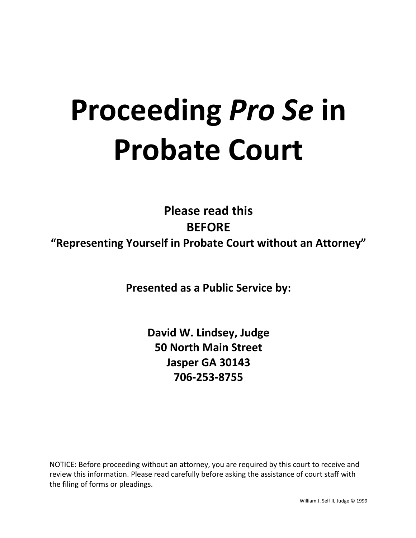# **Proceeding Pro Se in Probate Court**

**Please read this BEFORE** "Representing Yourself in Probate Court without an Attorney"

**Presented as a Public Service by:** 

**David W. Lindsey, Judge 50 North Main Street Jasper GA 30143 706-253-8755**

NOTICE: Before proceeding without an attorney, you are required by this court to receive and review this information. Please read carefully before asking the assistance of court staff with the filing of forms or pleadings.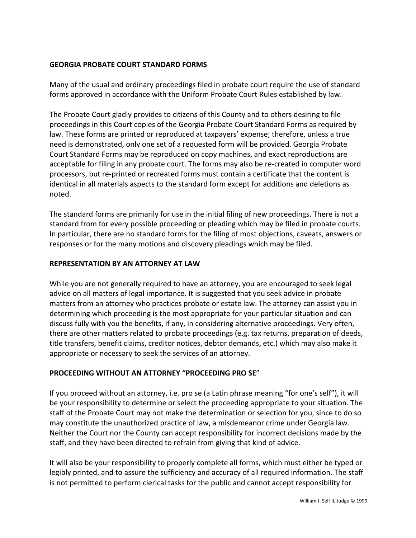### **GEORGIA PROBATE COURT STANDARD FORMS**

Many of the usual and ordinary proceedings filed in probate court require the use of standard forms approved in accordance with the Uniform Probate Court Rules established by law.

The Probate Court gladly provides to citizens of this County and to others desiring to file proceedings in this Court copies of the Georgia Probate Court Standard Forms as required by law. These forms are printed or reproduced at taxpayers' expense; therefore, unless a true need is demonstrated, only one set of a requested form will be provided. Georgia Probate Court Standard Forms may be reproduced on copy machines, and exact reproductions are acceptable for filing in any probate court. The forms may also be re-created in computer word processors, but re-printed or recreated forms must contain a certificate that the content is identical in all materials aspects to the standard form except for additions and deletions as noted. 

The standard forms are primarily for use in the initial filing of new proceedings. There is not a standard from for every possible proceeding or pleading which may be filed in probate courts. In particular, there are no standard forms for the filing of most objections, caveats, answers or responses or for the many motions and discovery pleadings which may be filed.

#### **REPRESENTATION BY AN ATTORNEY AT LAW**

While you are not generally required to have an attorney, you are encouraged to seek legal advice on all matters of legal importance. It is suggested that you seek advice in probate matters from an attorney who practices probate or estate law. The attorney can assist you in determining which proceeding is the most appropriate for your particular situation and can discuss fully with you the benefits, if any, in considering alternative proceedings. Very often, there are other matters related to probate proceedings (e.g. tax returns, preparation of deeds, title transfers, benefit claims, creditor notices, debtor demands, etc.) which may also make it appropriate or necessary to seek the services of an attorney.

#### **PROCEEDING WITHOUT AN ATTORNEY "PROCEEDING PRO SE"**

If you proceed without an attorney, i.e. pro se (a Latin phrase meaning "for one's self"), it will be your responsibility to determine or select the proceeding appropriate to your situation. The staff of the Probate Court may not make the determination or selection for you, since to do so may constitute the unauthorized practice of law, a misdemeanor crime under Georgia law. Neither the Court nor the County can accept responsibility for incorrect decisions made by the staff, and they have been directed to refrain from giving that kind of advice.

It will also be your responsibility to properly complete all forms, which must either be typed or legibly printed, and to assure the sufficiency and accuracy of all required information. The staff is not permitted to perform clerical tasks for the public and cannot accept responsibility for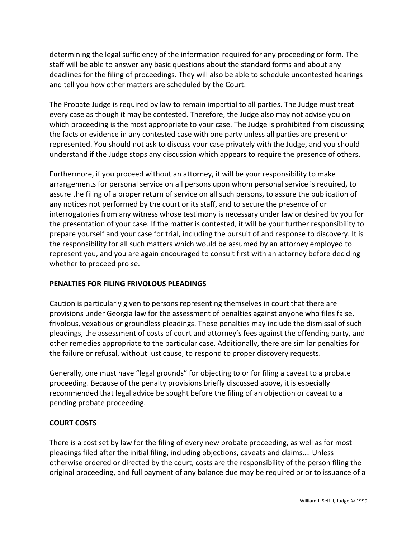determining the legal sufficiency of the information required for any proceeding or form. The staff will be able to answer any basic questions about the standard forms and about any deadlines for the filing of proceedings. They will also be able to schedule uncontested hearings and tell you how other matters are scheduled by the Court.

The Probate Judge is required by law to remain impartial to all parties. The Judge must treat every case as though it may be contested. Therefore, the Judge also may not advise you on which proceeding is the most appropriate to your case. The Judge is prohibited from discussing the facts or evidence in any contested case with one party unless all parties are present or represented. You should not ask to discuss your case privately with the Judge, and you should understand if the Judge stops any discussion which appears to require the presence of others.

Furthermore, if you proceed without an attorney, it will be your responsibility to make arrangements for personal service on all persons upon whom personal service is required, to assure the filing of a proper return of service on all such persons, to assure the publication of any notices not performed by the court or its staff, and to secure the presence of or interrogatories from any witness whose testimony is necessary under law or desired by you for the presentation of your case. If the matter is contested, it will be your further responsibility to prepare yourself and your case for trial, including the pursuit of and response to discovery. It is the responsibility for all such matters which would be assumed by an attorney employed to represent you, and you are again encouraged to consult first with an attorney before deciding whether to proceed pro se.

#### **PENALTIES FOR FILING FRIVOLOUS PLEADINGS**

Caution is particularly given to persons representing themselves in court that there are provisions under Georgia law for the assessment of penalties against anyone who files false, frivolous, vexatious or groundless pleadings. These penalties may include the dismissal of such pleadings, the assessment of costs of court and attorney's fees against the offending party, and other remedies appropriate to the particular case. Additionally, there are similar penalties for the failure or refusal, without just cause, to respond to proper discovery requests.

Generally, one must have "legal grounds" for objecting to or for filing a caveat to a probate proceeding. Because of the penalty provisions briefly discussed above, it is especially recommended that legal advice be sought before the filing of an objection or caveat to a pending probate proceeding.

#### **COURT COSTS**

There is a cost set by law for the filing of every new probate proceeding, as well as for most pleadings filed after the initial filing, including objections, caveats and claims.... Unless otherwise ordered or directed by the court, costs are the responsibility of the person filing the original proceeding, and full payment of any balance due may be required prior to issuance of a